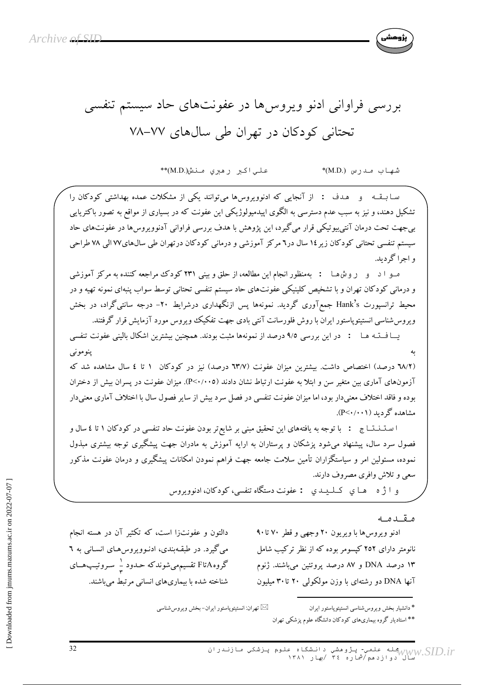

علي اکبر رهبري منش((M.D.\*\*

شهاب مدرس (M.D.)\*

سـابــقــه و هـدف : از آنجایی که ادنوویروسها می توانند یکی از مشکلات عمده بهداشتی کودکان را تشکیل دهند، و نیز به سبب عدم دسترسی به الگوی اپیدمیولوژیکی این عفونت که در بسیاری از مواقع به تصور باکتریایی بی جهت تحت درمان آنتی بیوتیکی قرار می گیرد، این پژوهش با هدف بررسی فراوانی آدنوویروس ها در عفونتهای حاد سیستم تنفسی تحتانی کودکان زیر ۱٤ سال در۲ مرکز آموزشی و درمانی کودکان درتهران طی سالهای۷۷ الی ۷۸ طراحی و اجرا گر ديد.

مـو ا د و روشهـا : بهمنظور انجام این مطالعه، از حلق و بینی ۲۳۱ کودک مراجعه کننده به مرکز آموزشی و درمانی کودکان تهران و با تشخیص کلینیکی عفونتهای حاد سیستم تنفسی تحتانی توسط سواب پنبهای نمونه تهیه و در محیط ترانسپورت Hank's جمعآوری گردید. نمونهها پس ازنگهداری درشرایط ۲۰- درجه سانتیگراد، در بخش ویروس شناسی انستیتوپاستور ایران با روش فلورسانت آنتی بادی جهت تفکیک ویروس مورد آزمایش قرار گرفتند.

یسا فستـه هـا : در این بررسی ۹/۵ درصد از نمونهها مثبت بودند. همچنین بیشترین اشکال بالینی عفونت تنفسی ينومونبي (٦٨/٢ درصد) اختصاص داشت. بیشترین میزان عفونت (٦٣/٧ درصد) نیز در کودکان ١ تا ٤ سال مشاهده شد که آزمونهای آماری بین متغیر سن و ابتلا به عفونت ارتباط نشان دادند (٢<٠/٠٥). میزان عفونت در پسران بیش از دختران بوده و فاقد اختلاف معنىدار بود، اما ميزان عفونت تنفسي در فصل سرد بيش از ساير فصول سال با اختلاف آماري معنىدار مشاهده گر دىد (P<۰/۰۰۱).

ا سـتــنـنـتـــاج : با توجه به يافتههاي اين تحقيق مبنى بر شايع تر بودن عفونت حاد تنفسي در كودكان ١ تا ٤ سال و فصول سرد سال، پیشنهاد می شود یزشکان و پرستاران به ارایه آموزش به مادران جهت پیشگیری توجه بیشتری مبذول نموده، مسئولین امر و سیاستگزاران تأمین سلامت جامعه جهت فراهم نمودن امکانات پیشگیری و درمان عفونت مذکور سعي و تلاش وافري مصروف دارند.

و اثر ه پهلوی کیلیدی : عفونت دستگاه تنفسي، کودکان، ادنوویږوس

مقدمه

ادنو ویروس ها با ویریون ۲۰ وجهی و قطر ۷۰ تا۹۰ نانومتر دارای ۲۵۲ کیسومر بوده که از نظر ترکیب شامل ۱۳ درصد DNA و ۸۷ درصد پروتئین می باشند. ژنوم آنها DNA دو رشتهای با وزن مولکولم ۲۰ تا ۳۰ میلیون

دالتون و عفونتزا است، که تکثیر آن در هسته انجام مي گيرد. در طبقـهبندي، ادنـوويروس هـاي انسـاني به ٦ گروهAتاF تقسیمهمیشوندکه حـدود <sup>۱</sup>ـ سـروتیـپـهــای شناخته شده با بیماریهای انسانی مرتبط می باشند.

⊠ تهران: انستيتوپاستور ايران−بخش ويروسشناسي

\* دانشیار بخش ویروسشناسی انستیتوپاستور ایران \*\* استادیار گروه بیماریهای کودکان دانشگاه علوم پزشکی تهران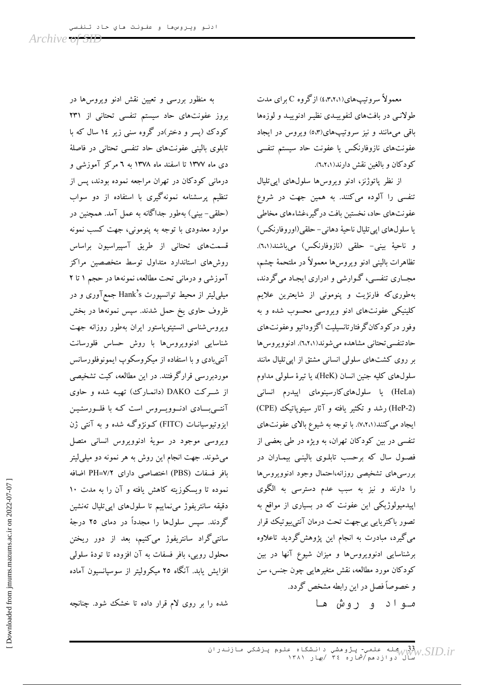معمولاً سروتیپهای(۲،۲،۱٪) ازگروه C برای مدت طولانبی در بافتهای لنفوییـدی نظیـر ادنوییـد و لوزهها باقی میمانند و نیز سروتیپهای(٥،٣) ویروس در ایجاد عفونتهاى نازوفارنكس يا عفونت حاد سيستم تنفسى کودکان و بالغین نقش دارند(٦،٢،١).

از نظر پاتوژنز، ادنو ویروسها سلولهای ایی تلیال تنفسی را آلوده میکنند. به همین جهت در شروع عفونتهای حاد، نخستین بافت درگیر،غشاءهای مخاطی يا سلولهاي اپي تليال ناحيهٔ دهاني- حلقي(اوروفارنكس) و ناحيهٔ بيني- حلقي (نازوفارنكس) مي باشند(٦،١). تظاهرات باليني ادنو ويروس ها معمولاً در ملتحمهٔ چشم، مجــاری تنفســی، گــوارشی و ادراری ایجـاد میگردند، بهطوریکه فارنژیت و پنومونی از شایعترین علایم کلینیکی عفونتهای ادنو ویروسی محسوب شده و به وفور دركودكان گرفتارتانسيليت اگزوداتيو وعفونتهاي حادتنفسي تحتاني مشاهده مي شوند(٦،٢،١). ادنوويروس ها بر روی کشتهای سلولی انسانی مشتق از اپی تلیال مانند سلولهای کلیه جنین انسان (HeK)، یا تیرهٔ سلولی مداوم (HeLa) یا سلولهایکارسینومای اپیدرم انسانی (HeP-2) رشد و تکثیر یافته و آثار سیتویاتیک (CPE) ایجاد می کنند(۷،۲،۱). با توجه به شیوع بالای عفونتهای تنفسی در بین کودکان تهران، به ویژه در طی بعضی از فصول سال که برحسب تابلـوی بالینـی بیمـاران در بررسي هاى تشخيصي روزانه،احتمال وجود ادنوويروس ها را دارند و نیز به سبب عدم دسترسی به الگوی اپیدمیولوژیکی این عفونت که در بسیاری از مواقع به تصور باکتریایی بیجهت تحت درمان آنتیبیوتیک قرار می گیرد، مبادرت به انجام این پژوهش گردید تاعلاوه برشناسایی ادنوویروس ها و میزان شیوع آنها در بین کودکان مورد مطالعه، نقش متغیرهایی چون جنس، سن و خصوصاً فصل در این رابطه مشخص گردد. مـواد و روش هـا

به منظور بررسی و تعیین نقش ادنو ویروس ها در بروز عفونتهای حاد سیستم تنفسی تحتانی از ۲۳۱ کودک (پسر و دختر)در گروه سنی زیر ۱٤ سال که با تابلوی بالینی عفونتهای حاد تنفسی تحتانی در فاصلهٔ دی ماه ۱۳۷۷ تا اسفند ماه ۱۳۷۸ به ٦ مرکز آموزشی و درمانی کودکان در تهران مراجعه نموده بودند، پس از تنظیم پرسشنامه نمونهگیری با استفاده از دو سواب (حلقی- بینی) بهطور جداگانه به عمل آمد. همچنین در موارد معدودی با توجه به پنومونی، جهت کسب نمونه قسمتهای تحتانی از طریق آسپیراسیون براساس روشهای استاندارد متداول توسط متخصصین مراکز آموزشی و درمانی تحت مطالعه، نمونهها در حجم ۱ تا ۲ میلمیلیتر از محیط توانسپورت Hank's جمعآوری و در ظروف حاوی یخ حمل شدند. سپس نمونهها در بخش ويروس شناسى انستيتوپاستور ايران بهطور روزانه جهت شناسایی ادنوویروس ها با روش حساس فلورسانت آنتیبادی و با استفاده از میکروسکوپ ایمونوفلورسانس موردبررسی قرارگرفتند. در این مطالعه، کیت تشخیصی از شـرکت DAKO (دانمارک) تهیـه شده و حاوی آنتے بسادی ادنسوویسروس است کـه با فلسورسئـیـن ایزوتیوسیانـات (FITC) کـونژوگـه شده و به آنتـی ژن ویروسی موجود در سویهٔ ادنوویروس انسانی متصل می شوند. جهت انجام این روش به هر نمونه دو میلی لیتر بافر فسفات (PBS) اختصاصی دارای PH=۷/۲ اضافه نموده تا ویسکوزیته کاهش یافته و آن را به مدت ۱۰ دقیقه سانتریفوژ میiماییم تا سلولهای اپیتلیال تەنشین گردند. سپس سلولها را مجدداً در دمای ۲۵ درجهٔ سانتیگراد سانتریفوژ میکنیم، بعد از دور ریختن محلول رویی، بافر فسفات به آن افزوده تا تودهٔ سلولی افزایش پابد. آنگاه ۲۵ میکرولیتر از سوسیانسیون آماده

شده را بر روی لام قرار داده تا خشک شود. چنانچه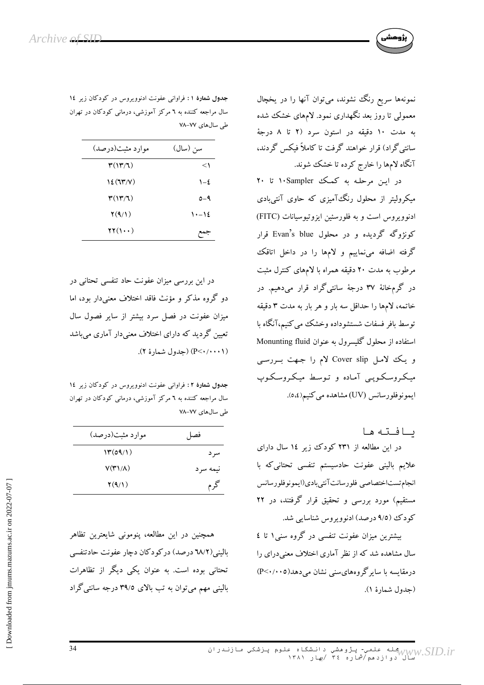نمونهها سریع رنگ نشوند، میتوان آنها را در یخچال معمولی تا روز بعد نگهداری نمود. لامهای خشک شده به مدت ۱۰ دقیقه در استون سرد (۲ تا ۸ درجهٔ سانتی گراد) قرار خواهند گرفت تا کاملاً فیکس گردند، آنگاه لامها را خارج کرده تا خشک شوند.

در این مرحله به کمک ۱۰Sampler تا ۲۰ میکرولیتر از محلول رنگ آمیزی که حاوی آنتیبادی ادنوویروس است و به فلورسئین ایزوتیوسیانات (FITC) کونژوگه گردیده و در محلول Evan's blue قرار گرفته اضافه می نماییم و لامها را در داخل اتاقک مرطوب به مدت ۲۰ دقیقه همراه با لامهای کنترل مثبت در گرمخانهٔ ۳۷ درجهٔ سانتیگراد قرار میدهیم. در خاتمه، لامها را حداقل سه بار و هر بار به مدت ۳ دقیقه توسط بافر فسفات شستشوداده وخشک می کنیم،آنگاه با استفاده از محلول گلیسرول به عنوان Monunting fluid و یک لامل Cover slip لام را جهت بـررسـی میکروسکوپی آماده و توسط میکروسکوپ ايمونوفلورسانس (UV) مشاهده مي كنيم(٤،٥).

سافته ها

در این مطالعه از ۲۳۱ کودک زیر ۱٤ سال دارای علایم بالینی عفونت حادسیستم تنفسی تحتانیکه با انجام تستاختصاصي فلورسانت آنتيبادي(ايمونوفلورسانس مستقیم) مورد بررسی و تحقیق قرار گرفتند، در ۲۲ کودک (٩/٥ درصد) ادنوويروس شناسايي شد.

بیشترین میزان عفونت تنفسی در گروه سنی۱ تا ٤ سال مشاهده شد که از نظر آماری اختلاف معنی درای را درمقایسه با سایر گروههای سنی نشان می دهد( P<۰/۰۰۵) (جدول شمارهٔ ۱).

جدول شمارهٔ ۱: فراوانی عفونت ادنوویروس در کودکان زیر ۱٤ سال مراجعه کننده به ٦ مرکز آموزشی، درمانی کودکان در تهران طی سال های ۷۷–۷۸

| موارد مثبت(درصد)                                      | سن (سال)      |
|-------------------------------------------------------|---------------|
| $\mathbf{r}(\mathbf{y} \mathbf{y})$                   | <             |
| $\mathcal{V}(\mathcal{U}^{\star}/V)$                  | $\lambda - 2$ |
| $\mathfrak{r}(\mathfrak{l}\mathfrak{r}/\mathfrak{l})$ | $0 - 9$       |
| $\mathbf{Y}(9/1)$                                     | $1 - 12$      |
| $\mathbf{Y}(\mathbf{Y} \cdot \mathbf{Y})$             |               |

در این بررسی میزان عفونت حاد تنفسی تحتانی در دو گروه مذکر و مؤنث فاقد اختلاف معنی دار بود، اما میزان عفونت در فصل سرد بیشتر از سایر فصول سال تعیین گردید که دارای اختلاف معنی دار آماری می باشد (۱۰۰۰۱/ ->P) (جدول شمارهٔ ۲).

جدول شمارهٔ ۲: فراوانی عفونت ادنوویروس در کودکان زیر ١٤ سال مراجعه کننده به ٦ مرکز آموزشی، درمانی کودکان در تهران طی سالهای ۷۷–۷۸

| موارد مثبت(درصد)              | فصل      |
|-------------------------------|----------|
| $\mathcal{M}(\mathcal{O}(1))$ | سر د     |
| $V(T)/\Lambda$ )              | نيمه سرد |
| $\mathbf{Y}(9/1)$             | گرم      |

همچنین در این مطالعه، پنومونی شایعترین تظاهر بالینی(٦٨/٢ درصد) درکودکان دچار عفونت حادتنفسی تحتانی بوده است. به عنوان یکی دیگر از تظاهرات بالینی مهم میتوان به تب بالای ۳۹/۵ درجه سانتی گراد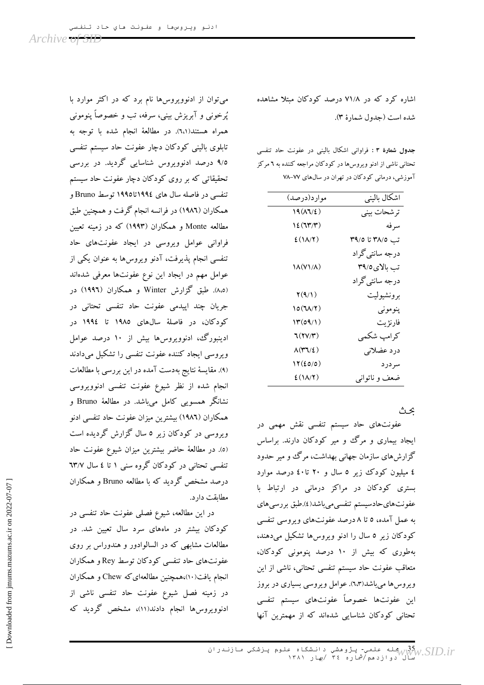اشاره کرد که در ۷۱/۸ درصد کودکان مبتلا مشاهده شده است (جدول شمارهٔ ۳).

جدول شمارهٔ ۳ : فراوانی اشکال بالینی در عفونت حاد تنفسی تحتانی ناشی از ادنو ویروس ها در کودکان مراجعه کننده به ٦ مرکز آموزشی، درمانی کودکان در تهران در سال های ۷۷–۷۸

| اشكال باليني                |
|-----------------------------|
| ترشحات بيني                 |
| سرفه                        |
| تب ٣٩/٥ تا ٣٩/٥             |
| درجه سانتی گراد             |
| تب بالای0/۳۹                |
| درجه سانت <sub>ی</sub> گراد |
| برونشيوليت                  |
| پنومونې                     |
| فارنژيت                     |
| كرامپ شكمي                  |
| درد عضلاني                  |
| سردرد                       |
| ضعف و ناتواني               |
|                             |

عث

عفونتهای حاد سیستم تنفسی نقش مهمی در ایجاد بیماری و مرگ و میر کودکان دارند. براساس گزارشهای سازمان جهانی بهداشت، مرگ و میر حدود ٤ میلیون کودک زیر ٥ سال و ٢٠ تا٤٠ درصد موارد بستری کودکان در مراکز درمانی در ارتباط با عفونتهاي حادسيستم تنفسى مىباشد(٤).طبق بررسي هاي به عمل آمده، ٥ تا ٨ درصد عفونتهاي ويروسي تنفسي کودکان زیر ٥ سال را ادنو ویروسها تشکیل میدهند، بهطوری که بیش از ۱۰ درصد پنومونی کودکان، متعاقب عفونت حاد سيستم تنفسي تحتاني، ناشي از اين ویروس ها میباشد(٦،٣). عوامل ویروسی بسیاری در بروز این عفونتها خصوصاً عفونتهای سیستم تنفسی تحتانی کودکان شناسایی شدهاند که از مهمترین آنها

می توان از ادنوویروس ها نام برد که در اکثر موارد با پُرخونی و آبریزش بینی، سرفه، تب و خصوصاً پنومونی همراه هستند(٦،١). در مطالعهٔ انجام شده با توجه به تابلوی بالینی کودکان دچار عفونت حاد سیستم تنفسی ۹/۵ درصد ادنوویروس شناسایی گردید. در بررسی تحقیقاتی که بر روی کودکان دچار عفونت حاد سیستم تنفسی در فاصله سال های ۱۹۹٤تا۱۹۹۵ توسط Bruno و همکاران (١٩٨٦) در فرانسه انجام گرفت و همچنین طبق مطالعه Monte و همکاران (۱۹۹۳) که در زمینه تعیین فراوانی عوامل ویروسی در ایجاد عفونتهای حاد تنفسی انجام پذیرفت، آدنو ویروس ها به عنوان یکی از عوامل مهم در ايجاد اين نوع عفونتها معرفى شدهاند (۵،۵). طبق گزارش Winter و همکاران (۱۹۹۶) در جریان چند اپیدمی عفونت حاد تنفسی تحتانی در کودکان، در فاصلهٔ سالهای ۱۹۸۵ تا ۱۹۹٤ در ادینبورگ، ادنوویروسها بیش از ۱۰ درصد عوامل ویروسی ایجاد کننده عفونت تنفسی را تشکیل میدادند (۹). مقایسهٔ نتایج بهدست آمده در این بررسی با مطالعات انجام شده از نظر شیوع عفونت تنفسی ادنوویروسی نشانگر همسویی کامل میباشد. در مطالعهٔ Bruno و همکاران (١٩٨٦) بیشترین میزان عفونت حاد تنفسی ادنو ویروسی در کودکان زیر ٥ سال گزارش گردیده است (٥). در مطالعهٔ حاضر بیشترین میزان شیوع عفونت حاد تنفسی تحتانی در کودکان گروه سنی ۱ تا ٤ سال ٦٣/٧ درصد مشخص گردید که با مطالعه Bruno و همکاران مطابقت دارد.

در این مطالعه، شیوع فصلی عفونت حاد تنفسی در کودکان بیشتر در ماههای سرد سال تعیین شد. در مطالعات مشابهی که در السالوادور و هندوراس بر روی عفونتهای حاد تنفسی کودکان توسط Rey و همکاران انجام یافت(١٠)،همچنین مطالعهای که Chew و همکاران در زمینه فصل شیوع عفونت حاد تنفسی ناشی از ادنوویروس ها انجام دادند(۱۱)، مشخص گردید که